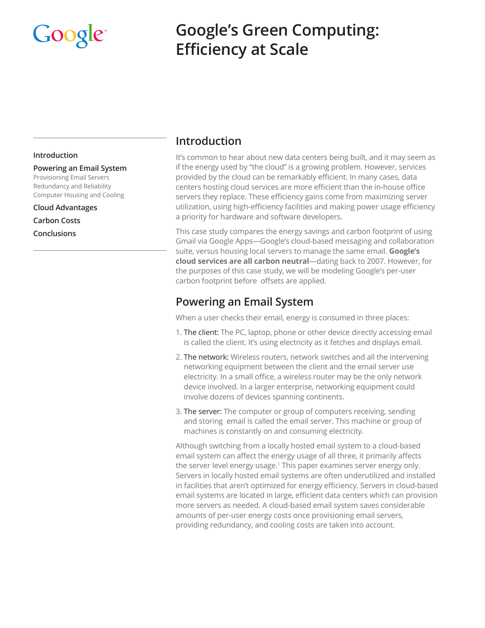# Google

# **Google's Green Computing: Efficiency at Scale**

#### **Introduction**

**Powering an Email System** Provisioning Email Servers Redundancy and Reliability Computer Housing and Cooling

**Cloud Advantages Carbon Costs Conclusions**

## **Introduction**

It's common to hear about new data centers being built, and it may seem as if the energy used by "the cloud" is a growing problem. However, services provided by the cloud can be remarkably efficient. In many cases, data centers hosting cloud services are more efficient than the in-house office servers they replace. These efficiency gains come from maximizing server utilization, using high-efficiency facilities and making power usage efficiency a priority for hardware and software developers.

This case study compares the energy savings and carbon footprint of using Gmail via Google Apps—Google's cloud-based messaging and collaboration suite, versus housing local servers to manage the same email. **[Google's](http://www.google.com/green/operations/neutral-as-switzerland.html)  [cloud services are all carbon neutral](http://www.google.com/green/operations/neutral-as-switzerland.html)**—dating back to 2007. However, for the purposes of this case study, we will be modeling Google's per-user carbon footprint before offsets are applied.

# **Powering an Email System**

When a user checks their email, energy is consumed in three places:

- 1. The client: The PC, laptop, phone or other device directly accessing email is called the client. It's using electricity as it fetches and displays email.
- 2. The network: Wireless routers, network switches and all the intervening networking equipment between the client and the email server use electricity. In a small office, a wireless router may be the only network device involved. In a larger enterprise, networking equipment could involve dozens of devices spanning continents.
- 3. The server: The computer or group of computers receiving, sending and storing email is called the email server. This machine or group of machines is constantly on and consuming electricity.

Although switching from a locally hosted email system to a cloud-based email system can affect the energy usage of all three, it primarily affects the server level energy usage.1 This paper examines server energy only. Servers in locally hosted email systems are often underutilized and installed in facilities that aren't optimized for energy efficiency. Servers in cloud-based email systems are located in large, efficient data centers which can provision more servers as needed. A cloud-based email system saves considerable amounts of per-user energy costs once provisioning email servers, providing redundancy, and cooling costs are taken into account.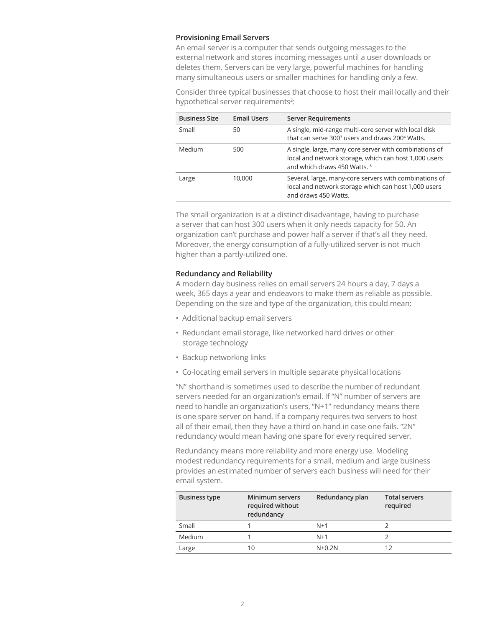#### **Provisioning Email Servers**

An email server is a computer that sends outgoing messages to the external network and stores incoming messages until a user downloads or deletes them. Servers can be very large, powerful machines for handling many simultaneous users or smaller machines for handling only a few.

Consider three typical businesses that choose to host their mail locally and their hypothetical server requirements<sup>2</sup>:

| <b>Business Size</b> | <b>Email Users</b> | <b>Server Requirements</b>                                                                                                                                 |
|----------------------|--------------------|------------------------------------------------------------------------------------------------------------------------------------------------------------|
| Small                | 50                 | A single, mid-range multi-core server with local disk<br>that can serve 300 <sup>3</sup> users and draws 200 <sup>4</sup> Watts.                           |
| Medium               | 500                | A single, large, many core server with combinations of<br>local and network storage, which can host 1,000 users<br>and which draws 450 Watts. <sup>5</sup> |
| Large                | 10,000             | Several, large, many-core servers with combinations of<br>local and network storage which can host 1,000 users<br>and draws 450 Watts.                     |

The small organization is at a distinct disadvantage, having to purchase a server that can host 300 users when it only needs capacity for 50. An organization can't purchase and power half a server if that's all they need. Moreover, the energy consumption of a fully-utilized server is not much higher than a partly-utilized one.

#### **Redundancy and Reliability**

A modern day business relies on email servers 24 hours a day, 7 days a week, 365 days a year and endeavors to make them as reliable as possible. Depending on the size and type of the organization, this could mean:

- Additional backup email servers
- Redundant email storage, like networked hard drives or other storage technology
- Backup networking links
- Co-locating email servers in multiple separate physical locations

"N" shorthand is sometimes used to describe the number of redundant servers needed for an organization's email. If "N" number of servers are need to handle an organization's users, "N+1" redundancy means there is one spare server on hand. If a company requires two servers to host all of their email, then they have a third on hand in case one fails. "2N" redundancy would mean having one spare for every required server.

Redundancy means more reliability and more energy use. Modeling modest redundancy requirements for a small, medium and large business provides an estimated number of servers each business will need for their email system.

| <b>Business type</b> | Minimum servers<br>required without<br>redundancy | Redundancy plan | <b>Total servers</b><br>required |
|----------------------|---------------------------------------------------|-----------------|----------------------------------|
| Small                |                                                   | $N+1$           |                                  |
| Medium               |                                                   | $N+1$           |                                  |
| Large                | 10                                                | $N+0.2N$        |                                  |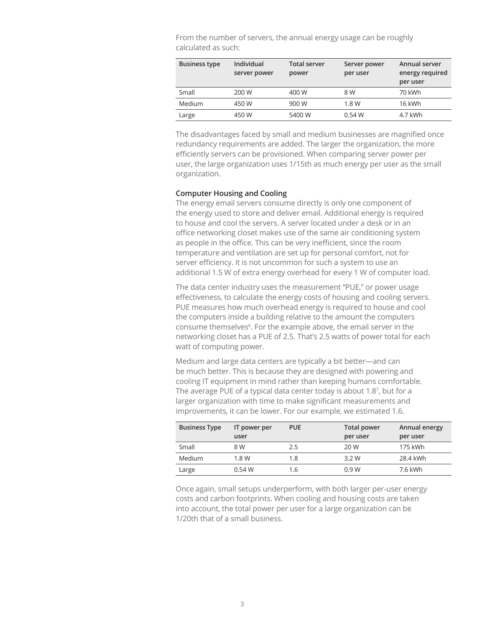From the number of servers, the annual energy usage can be roughly calculated as such:

| <b>Business type</b> | <b>Individual</b><br>server power | <b>Total server</b><br>power | Server power<br>per user | Annual server<br>energy required<br>per user |
|----------------------|-----------------------------------|------------------------------|--------------------------|----------------------------------------------|
| Small                | 200 W                             | 400 W                        | 8 W                      | 70 kWh                                       |
| Medium               | 450 W                             | 900 W                        | 1.8 W                    | 16 kWh                                       |
| Large                | 450 W                             | 5400 W                       | 0.54 W                   | 4.7 kWh                                      |

The disadvantages faced by small and medium businesses are magnified once redundancy requirements are added. The larger the organization, the more efficiently servers can be provisioned. When comparing server power per user, the large organization uses 1/15th as much energy per user as the small organization.

#### **Computer Housing and Cooling**

The energy email servers consume directly is only one component of the energy used to store and deliver email. Additional energy is required to house and cool the servers. A server located under a desk or in an office networking closet makes use of the same air conditioning system as people in the office. This can be very inefficient, since the room temperature and ventilation are set up for personal comfort, not for server efficiency. It is not uncommon for such a system to use an additional 1.5 W of extra energy overhead for every 1 W of computer load.

The data center industry uses the measurement "PUE," or power usage effectiveness, to calculate the energy costs of housing and cooling servers. PUE measures how much overhead energy is required to house and cool the computers inside a building relative to the amount the computers consume themselves<sup>6</sup>. For the example above, the email server in the networking closet has a PUE of 2.5. That's 2.5 watts of power total for each watt of computing power.

Medium and large data centers are typically a bit better—and can be much better. This is because they are designed with powering and cooling IT equipment in mind rather than keeping humans comfortable. The average PUE of a typical data center today is about 1.8<sup>7</sup>, but for a larger organization with time to make significant measurements and improvements, it can be lower. For our example, we estimated 1.6.

| <b>Business Type</b> | IT power per | <b>PUE</b> | <b>Total power</b> | Annual energy |
|----------------------|--------------|------------|--------------------|---------------|
|                      | user         |            | per user           | per user      |
| Small                | 8 W          | 2.5        | 20 W               | 175 kWh       |
| Medium               | 1.8 W        | 1.8        | 3.2W               | 28.4 kWh      |
| Large                | 0.54 W       | 1.6        | 0.9W               | 7.6 kWh       |

Once again, small setups underperform, with both larger per-user energy costs and carbon footprints. When cooling and housing costs are taken into account, the total power per user for a large organization can be 1/20th that of a small business.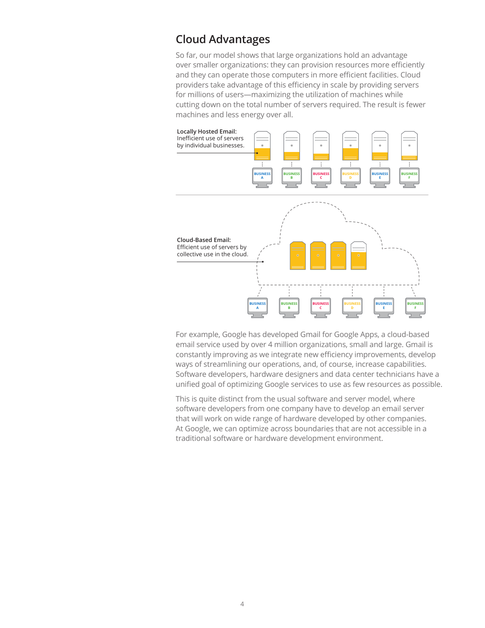# **Cloud Advantages**

So far, our model shows that large organizations hold an advantage over smaller organizations: they can provision resources more efficiently and they can operate those computers in more efficient facilities. Cloud providers take advantage of this efficiency in scale by providing servers for millions of users—maximizing the utilization of machines while cutting down on the total number of servers required. The result is fewer machines and less energy over all.



For example, Google has developed Gmail for Google Apps, a cloud-based email service used by over 4 million organizations, small and large. Gmail is constantly improving as we integrate new efficiency improvements, develop ways of streamlining our operations, and, of course, increase capabilities. Software developers, hardware designers and data center technicians have a unified goal of optimizing Google services to use as few resources as possible.

This is quite distinct from the usual software and server model, where software developers from one company have to develop an email server that will work on wide range of hardware developed by other companies. At Google, we can optimize across boundaries that are not accessible in a traditional software or hardware development environment.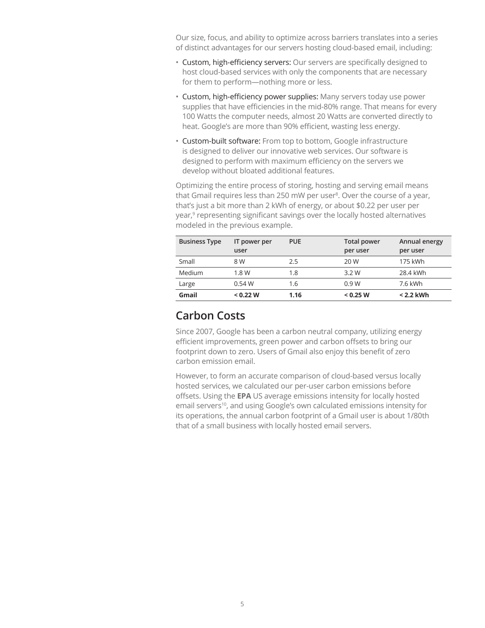Our size, focus, and ability to optimize across barriers translates into a series of distinct advantages for our servers hosting cloud-based email, including:

- Custom, high-efficiency servers: Our servers are specifically designed to host cloud-based services with only the components that are necessary for them to perform—nothing more or less.
- Custom, high-efficiency power supplies: Many servers today use power supplies that have efficiencies in the mid-80% range. That means for every 100 Watts the computer needs, almost 20 Watts are converted directly to heat. Google's are more than 90% efficient, wasting less energy.
- Custom-built software: From top to bottom, Google infrastructure is designed to deliver our innovative web services. Our software is designed to perform with maximum efficiency on the servers we develop without bloated additional features.

Optimizing the entire process of storing, hosting and serving email means that Gmail requires less than 250 mW per user<sup>8</sup>. Over the course of a year, that's just a bit more than 2 kWh of energy, or about \$0.22 per user per year,<sup>9</sup> representing significant savings over the locally hosted alternatives modeled in the previous example.

| <b>Business Type</b> | IT power per<br>user | <b>PUE</b> | <b>Total power</b><br>per user | Annual energy<br>per user |
|----------------------|----------------------|------------|--------------------------------|---------------------------|
| Small                | 8 W                  | 2.5        | 20 W                           | 175 kWh                   |
| Medium               | 1.8 W                | 1.8        | 3.2W                           | 28.4 kWh                  |
| Large                | 0.54 W               | 1.6        | 0.9W                           | 7.6 kWh                   |
| Gmail                | < 0.22 W             | 1.16       | < 0.25 W                       | $< 2.2$ kWh               |

### **Carbon Costs**

Since 2007, Google has been a carbon neutral company, utilizing energy efficient improvements, green power and carbon offsets to bring our footprint down to zero. Users of Gmail also enjoy this benefit of zero carbon emission email.

However, to form an accurate comparison of cloud-based versus locally hosted services, we calculated our per-user carbon emissions before offsets. Using the **[EPA](http://www.epa.gov/)** US average emissions intensity for locally hosted email servers<sup>10</sup>, and using Google's own calculated emissions intensity for its operations, the annual carbon footprint of a Gmail user is about 1/80th that of a small business with locally hosted email servers.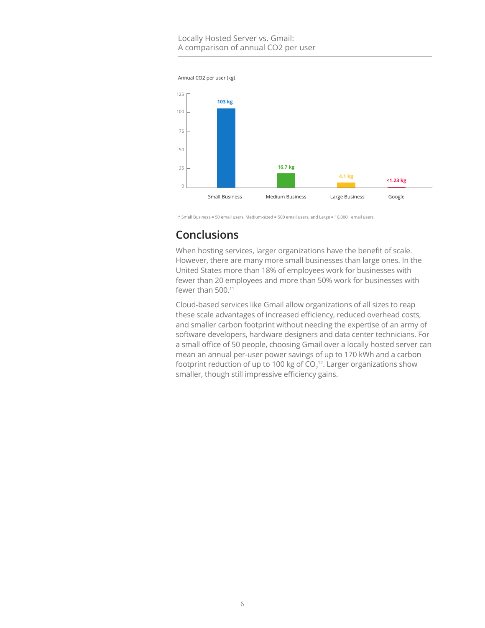#### Locally Hosted Server vs. Gmail: A comparison of annual CO2 per user



\* Small Business = 50 email users, Medium-sized = 500 email users, and Large = 10,000+ email users

# **Conclusions**

When hosting services, larger organizations have the benefit of scale. However, there are many more small businesses than large ones. In the United States more than 18% of employees work for businesses with fewer than 20 employees and more than 50% work for businesses with fewer than 500.<sup>11</sup>

Cloud-based services like Gmail allow organizations of all sizes to reap these scale advantages of increased efficiency, reduced overhead costs, and smaller carbon footprint without needing the expertise of an army of software developers, hardware designers and data center technicians. For a small office of 50 people, choosing Gmail over a locally hosted server can mean an annual per-user power savings of up to 170 kWh and a carbon footprint reduction of up to 100 kg of CO $_2^{\, \rm 12}.$  Larger organizations show smaller, though still impressive efficiency gains.